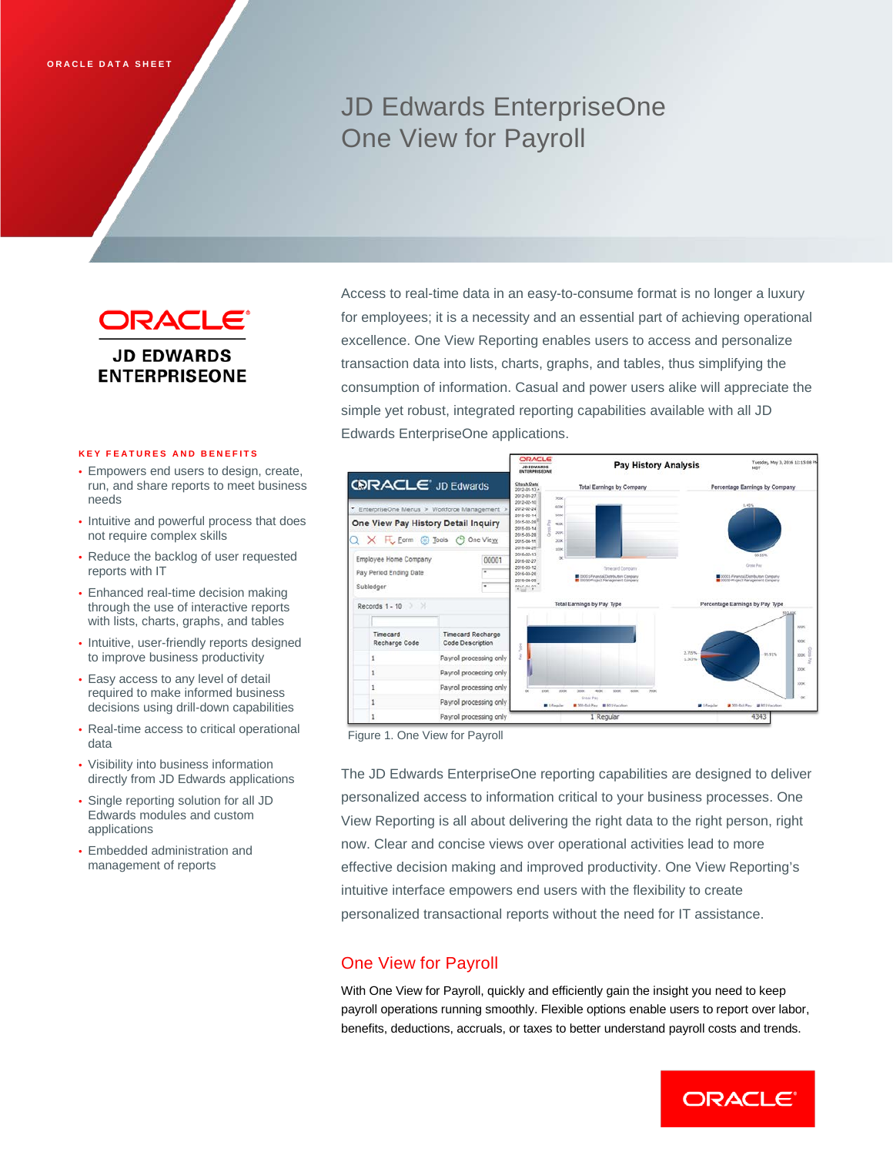# JD Edwards EnterpriseOne One View for Payroll



#### **KEY FEATURES AND BENEFITS**

- Empowers end users to design, create, run, and share reports to meet business needs
- Intuitive and powerful process that does not require complex skills
- Reduce the backlog of user requested reports with IT
- Enhanced real-time decision making through the use of interactive reports with lists, charts, graphs, and tables
- Intuitive, user-friendly reports designed to improve business productivity
- Easy access to any level of detail required to make informed business decisions using drill-down capabilities
- Real-time access to critical operational data
- Visibility into business information directly from JD Edwards applications
- Single reporting solution for all JD Edwards modules and custom applications
- Embedded administration and management of reports

Access to real-time data in an easy-to-consume format is no longer a luxury for employees; it is a necessity and an essential part of achieving operational excellence. One View Reporting enables users to access and personalize transaction data into lists, charts, graphs, and tables, thus simplifying the consumption of information. Casual and power users alike will appreciate the simple yet robust, integrated reporting capabilities available with all JD Edwards EnterpriseOne applications.



#### Figure 1. One View for Payroll

The JD Edwards EnterpriseOne reporting capabilities are designed to deliver personalized access to information critical to your business processes. One View Reporting is all about delivering the right data to the right person, right now. Clear and concise views over operational activities lead to more effective decision making and improved productivity. One View Reporting's intuitive interface empowers end users with the flexibility to create personalized transactional reports without the need for IT assistance.

## One View for Payroll

With One View for Payroll, quickly and efficiently gain the insight you need to keep payroll operations running smoothly. Flexible options enable users to report over labor, benefits, deductions, accruals, or taxes to better understand payroll costs and trends.